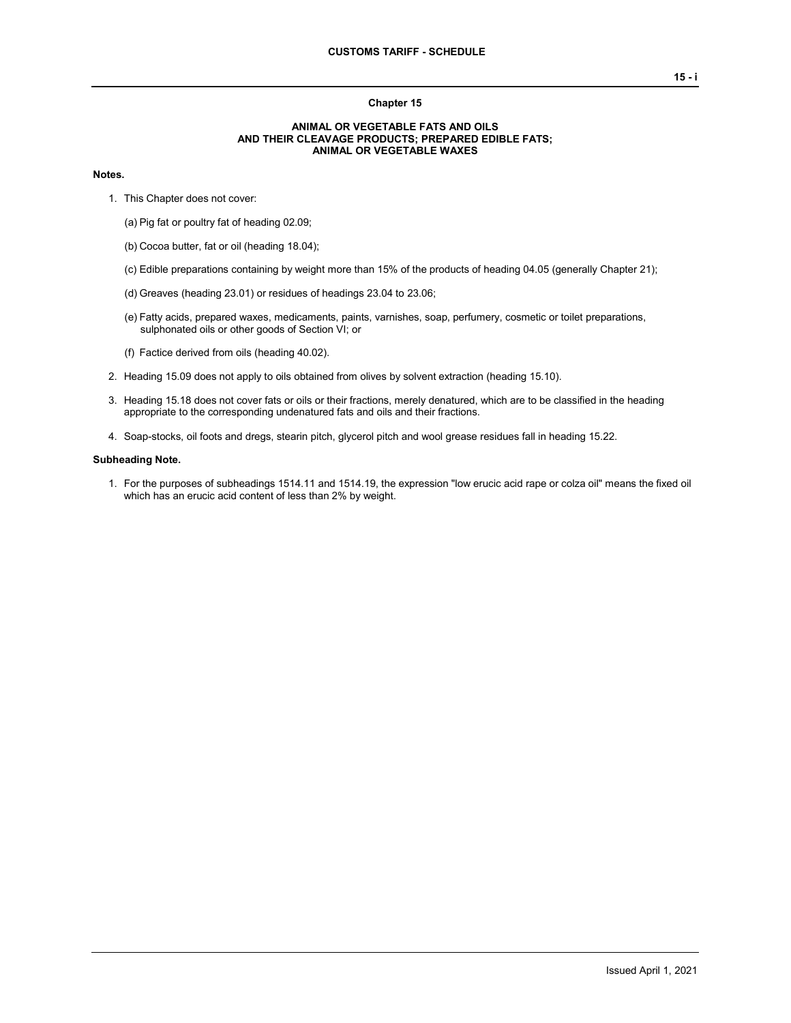### **Chapter 15**

### **ANIMAL OR VEGETABLE FATS AND OILS AND THEIR CLEAVAGE PRODUCTS; PREPARED EDIBLE FATS; ANIMAL OR VEGETABLE WAXES**

## **Notes.**

- 1. This Chapter does not cover:
	- (a) Pig fat or poultry fat of heading 02.09;
	- (b) Cocoa butter, fat or oil (heading 18.04);
	- (c) Edible preparations containing by weight more than 15% of the products of heading 04.05 (generally Chapter 21);
	- (d) Greaves (heading 23.01) or residues of headings 23.04 to 23.06;
	- (e) Fatty acids, prepared waxes, medicaments, paints, varnishes, soap, perfumery, cosmetic or toilet preparations, sulphonated oils or other goods of Section VI; or
	- (f) Factice derived from oils (heading 40.02).
- 2. Heading 15.09 does not apply to oils obtained from olives by solvent extraction (heading 15.10).
- 3. Heading 15.18 does not cover fats or oils or their fractions, merely denatured, which are to be classified in the heading appropriate to the corresponding undenatured fats and oils and their fractions.
- 4. Soap-stocks, oil foots and dregs, stearin pitch, glycerol pitch and wool grease residues fall in heading 15.22.

#### **Subheading Note.**

1. For the purposes of subheadings 1514.11 and 1514.19, the expression "low erucic acid rape or colza oil" means the fixed oil which has an erucic acid content of less than 2% by weight.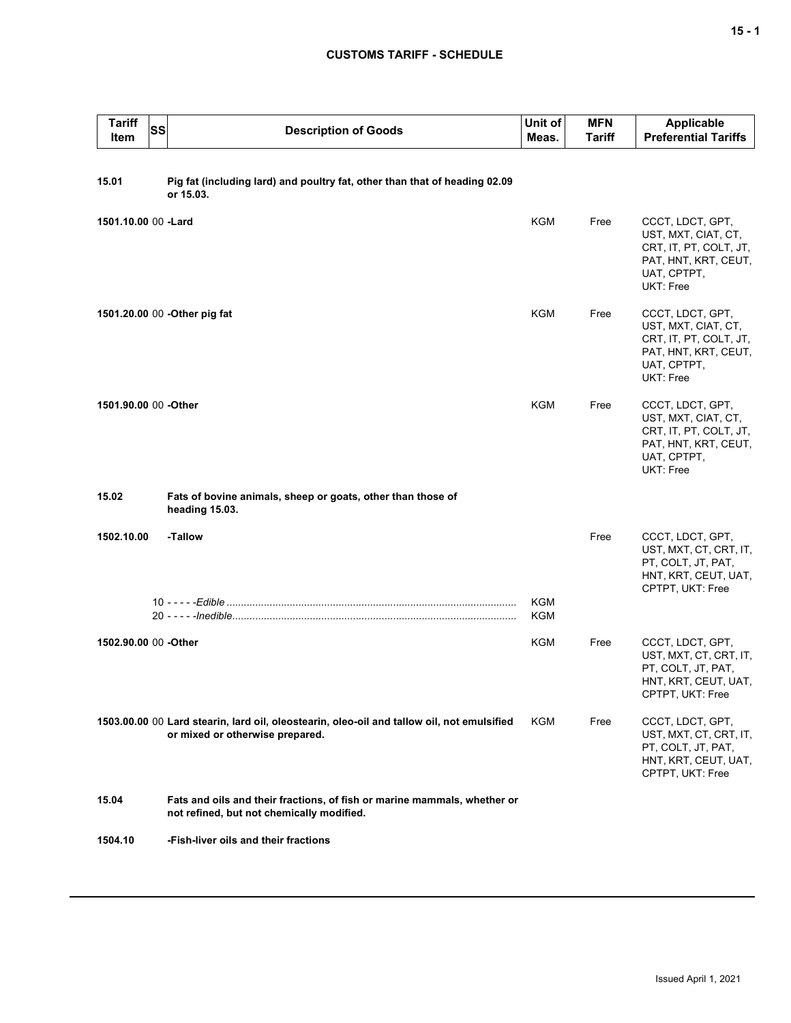# **CUSTOMS TARIFF - SCHEDULE**

| <b>Tariff</b><br>Item | <b>SS</b> | <b>Description of Goods</b>                                                                                                   | Unit of<br>Meas. | <b>MFN</b><br><b>Tariff</b> | <b>Applicable</b><br><b>Preferential Tariffs</b>                                                                      |
|-----------------------|-----------|-------------------------------------------------------------------------------------------------------------------------------|------------------|-----------------------------|-----------------------------------------------------------------------------------------------------------------------|
| 15.01                 |           | Pig fat (including lard) and poultry fat, other than that of heading 02.09<br>or 15.03.                                       |                  |                             |                                                                                                                       |
| 1501.10.00 00 -Lard   |           |                                                                                                                               | <b>KGM</b>       | Free                        | CCCT, LDCT, GPT,<br>UST, MXT, CIAT, CT,<br>CRT, IT, PT, COLT, JT,<br>PAT, HNT, KRT, CEUT,<br>UAT, CPTPT,<br>UKT: Free |
|                       |           | 1501.20.00 00 - Other pig fat                                                                                                 | KGM              | Free                        | CCCT, LDCT, GPT,<br>UST, MXT, CIAT, CT,<br>CRT, IT, PT, COLT, JT,<br>PAT, HNT, KRT, CEUT,<br>UAT, CPTPT,<br>UKT: Free |
| 1501.90.00 00 - Other |           |                                                                                                                               | KGM              | Free                        | CCCT, LDCT, GPT,<br>UST, MXT, CIAT, CT,<br>CRT, IT, PT, COLT, JT,<br>PAT, HNT, KRT, CEUT,<br>UAT, CPTPT,<br>UKT: Free |
| 15.02                 |           | Fats of bovine animals, sheep or goats, other than those of<br>heading 15.03.                                                 |                  |                             |                                                                                                                       |
| 1502.10.00            |           | -Tallow                                                                                                                       |                  | Free                        | CCCT, LDCT, GPT,<br>UST, MXT, CT, CRT, IT,<br>PT, COLT, JT, PAT,<br>HNT, KRT, CEUT, UAT,<br>CPTPT, UKT: Free          |
|                       |           |                                                                                                                               | KGM<br>KGM       |                             |                                                                                                                       |
| 1502.90.00 00 -Other  |           |                                                                                                                               | KGM              | Free                        | CCCT, LDCT, GPT,<br>UST, MXT, CT, CRT, IT,<br>PT, COLT, JT, PAT,<br>HNT, KRT, CEUT, UAT,<br>CPTPT, UKT: Free          |
|                       |           | 1503.00.00 00 Lard stearin, lard oil, oleostearin, oleo-oil and tallow oil, not emulsified<br>or mixed or otherwise prepared. | KGM              | Free                        | CCCT, LDCT, GPT,<br>UST, MXT, CT, CRT, IT,<br>PT, COLT, JT, PAT,<br>HNT, KRT, CEUT, UAT,<br>CPTPT, UKT: Free          |
| 15.04                 |           | Fats and oils and their fractions, of fish or marine mammals, whether or<br>not refined, but not chemically modified.         |                  |                             |                                                                                                                       |
| 1504.10               |           | -Fish-liver oils and their fractions                                                                                          |                  |                             |                                                                                                                       |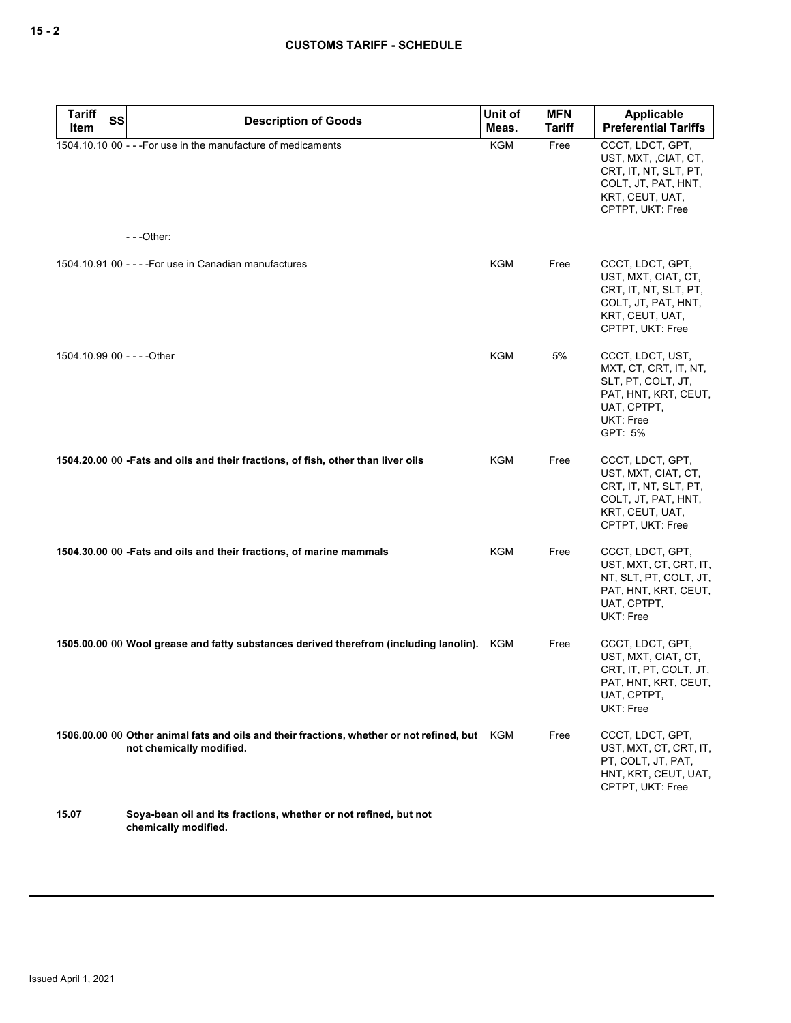| Tariff<br>SS<br>Item        | <b>Description of Goods</b>                                                                                           | Unit of<br>Meas. | <b>MFN</b><br><b>Tariff</b> | Applicable<br><b>Preferential Tariffs</b>                                                                                        |
|-----------------------------|-----------------------------------------------------------------------------------------------------------------------|------------------|-----------------------------|----------------------------------------------------------------------------------------------------------------------------------|
|                             | 1504.10.10 00 - - - For use in the manufacture of medicaments<br>$--$ Other:                                          | <b>KGM</b>       | Free                        | CCCT, LDCT, GPT,<br>UST, MXT, , CIAT, CT,<br>CRT, IT, NT, SLT, PT,<br>COLT, JT, PAT, HNT,<br>KRT, CEUT, UAT,<br>CPTPT, UKT: Free |
|                             |                                                                                                                       |                  |                             |                                                                                                                                  |
|                             | 1504.10.91 00 - - - - For use in Canadian manufactures                                                                | KGM              | Free                        | CCCT, LDCT, GPT,<br>UST, MXT, CIAT, CT,<br>CRT, IT, NT, SLT, PT,<br>COLT, JT, PAT, HNT,<br>KRT, CEUT, UAT,<br>CPTPT, UKT: Free   |
| 1504.10.99 00 - - - - Other |                                                                                                                       | KGM              | 5%                          | CCCT, LDCT, UST,<br>MXT, CT, CRT, IT, NT,<br>SLT, PT, COLT, JT,<br>PAT, HNT, KRT, CEUT,<br>UAT, CPTPT,<br>UKT: Free<br>GPT: 5%   |
|                             | 1504.20.00 00 - Fats and oils and their fractions, of fish, other than liver oils                                     | KGM              | Free                        | CCCT, LDCT, GPT,<br>UST, MXT, CIAT, CT,<br>CRT, IT, NT, SLT, PT,<br>COLT, JT, PAT, HNT,<br>KRT, CEUT, UAT,<br>CPTPT, UKT: Free   |
|                             | 1504.30.00 00 - Fats and oils and their fractions, of marine mammals                                                  | KGM              | Free                        | CCCT, LDCT, GPT,<br>UST, MXT, CT, CRT, IT,<br>NT, SLT, PT, COLT, JT,<br>PAT, HNT, KRT, CEUT,<br>UAT, CPTPT,<br>UKT: Free         |
|                             | 1505.00.00 00 Wool grease and fatty substances derived therefrom (including lanolin). KGM                             |                  | Free                        | CCCT, LDCT, GPT,<br>UST, MXT, CIAT, CT,<br>CRT, IT, PT, COLT, JT,<br>PAT, HNT, KRT, CEUT,<br>UAT, CPTPT,<br>UKT: Free            |
|                             | 1506.00.00 00 Other animal fats and oils and their fractions, whether or not refined, but<br>not chemically modified. | KGM              | Free                        | CCCT, LDCT, GPT,<br>UST, MXT, CT, CRT, IT,<br>PT, COLT, JT, PAT,<br>HNT, KRT, CEUT, UAT,<br>CPTPT, UKT: Free                     |
| 15.07                       | Soya-bean oil and its fractions, whether or not refined, but not<br>chemically modified.                              |                  |                             |                                                                                                                                  |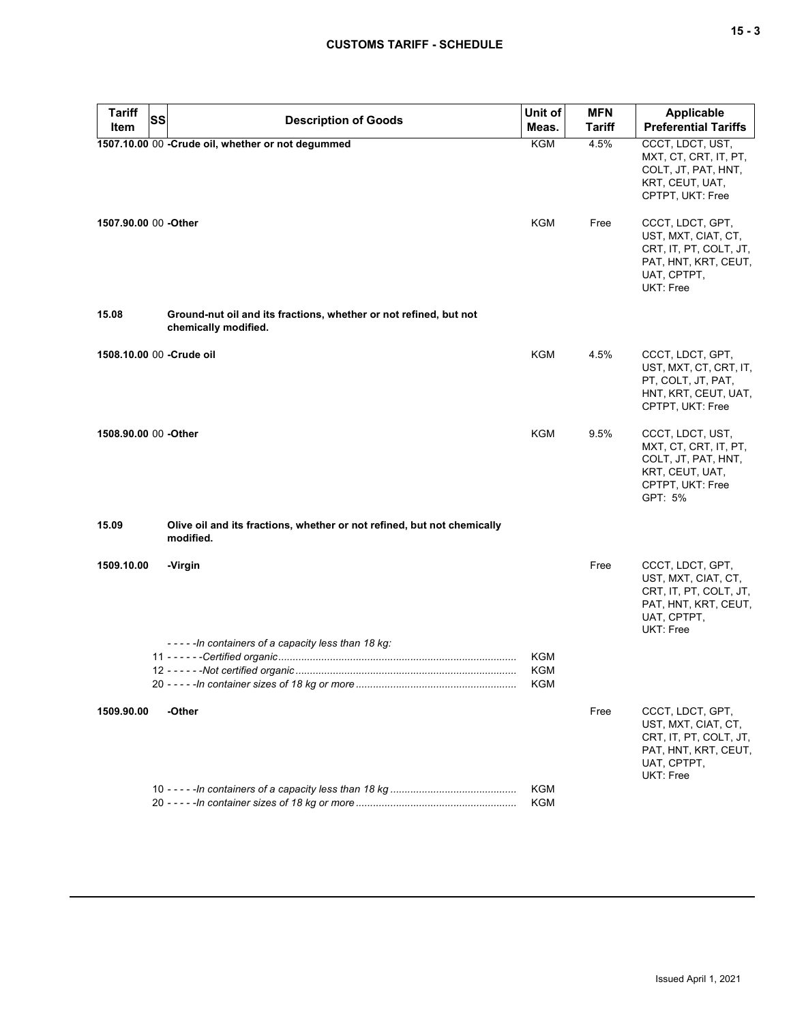| ×<br>۰. |  | v<br>۰. |
|---------|--|---------|
|---------|--|---------|

| <b>Tariff</b><br><b>SS</b> |                                                                                           | Unit of           | <b>MFN</b> | <b>Applicable</b>                                                                                                     |
|----------------------------|-------------------------------------------------------------------------------------------|-------------------|------------|-----------------------------------------------------------------------------------------------------------------------|
| Item                       | <b>Description of Goods</b>                                                               | Meas.             | Tariff     | <b>Preferential Tariffs</b>                                                                                           |
|                            | 1507.10.00 00 -Crude oil, whether or not degummed                                         | KGM               | 4.5%       | CCCT, LDCT, UST,<br>MXT, CT, CRT, IT, PT,<br>COLT, JT, PAT, HNT,<br>KRT, CEUT, UAT,<br>CPTPT, UKT: Free               |
| 1507.90.00 00 -Other       |                                                                                           | <b>KGM</b>        | Free       | CCCT, LDCT, GPT,<br>UST, MXT, CIAT, CT,<br>CRT, IT, PT, COLT, JT,<br>PAT, HNT, KRT, CEUT,<br>UAT, CPTPT,<br>UKT: Free |
| 15.08                      | Ground-nut oil and its fractions, whether or not refined, but not<br>chemically modified. |                   |            |                                                                                                                       |
| 1508.10.00 00 - Crude oil  |                                                                                           | KGM               | 4.5%       | CCCT, LDCT, GPT,<br>UST, MXT, CT, CRT, IT,<br>PT, COLT, JT, PAT,<br>HNT, KRT, CEUT, UAT,<br>CPTPT, UKT: Free          |
| 1508.90.00 00 -Other       |                                                                                           | KGM               | 9.5%       | CCCT, LDCT, UST,<br>MXT, CT, CRT, IT, PT,<br>COLT, JT, PAT, HNT,<br>KRT, CEUT, UAT,<br>CPTPT, UKT: Free<br>GPT: 5%    |
| 15.09                      | Olive oil and its fractions, whether or not refined, but not chemically<br>modified.      |                   |            |                                                                                                                       |
| 1509.10.00                 | -Virgin<br>-----In containers of a capacity less than 18 kg:                              |                   | Free       | CCCT, LDCT, GPT,<br>UST, MXT, CIAT, CT,<br>CRT, IT, PT, COLT, JT,<br>PAT, HNT, KRT, CEUT,<br>UAT, CPTPT,<br>UKT: Free |
|                            |                                                                                           | KGM<br>KGM<br>KGM |            |                                                                                                                       |
| 1509.90.00                 | -Other                                                                                    |                   | Free       | CCCT, LDCT, GPT,<br>UST, MXT, CIAT, CT,<br>CRT, IT, PT, COLT, JT,<br>PAT, HNT, KRT, CEUT,<br>UAT, CPTPT,<br>UKT: Free |
|                            |                                                                                           | <b>KGM</b><br>KGM |            |                                                                                                                       |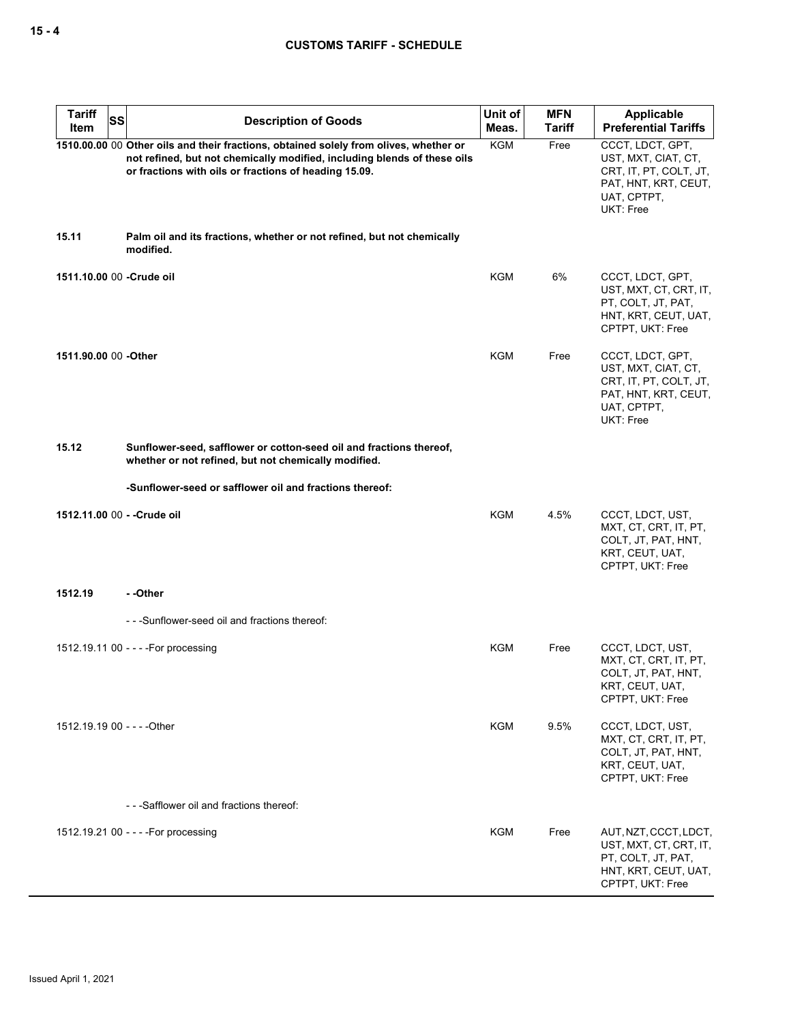| <b>Tariff</b><br>SS<br>Item | <b>Description of Goods</b>                                                                                                                                                                                                | Unit of<br>Meas. | <b>MFN</b><br><b>Tariff</b> | Applicable<br><b>Preferential Tariffs</b>                                                                             |
|-----------------------------|----------------------------------------------------------------------------------------------------------------------------------------------------------------------------------------------------------------------------|------------------|-----------------------------|-----------------------------------------------------------------------------------------------------------------------|
|                             | 1510.00.00 00 Other oils and their fractions, obtained solely from olives, whether or<br>not refined, but not chemically modified, including blends of these oils<br>or fractions with oils or fractions of heading 15.09. | <b>KGM</b>       | Free                        | CCCT, LDCT, GPT,<br>UST, MXT, CIAT, CT,<br>CRT, IT, PT, COLT, JT,<br>PAT, HNT, KRT, CEUT,<br>UAT, CPTPT,<br>UKT: Free |
| 15.11                       | Palm oil and its fractions, whether or not refined, but not chemically<br>modified.                                                                                                                                        |                  |                             |                                                                                                                       |
| 1511.10.00 00 - Crude oil   |                                                                                                                                                                                                                            | <b>KGM</b>       | 6%                          | CCCT, LDCT, GPT,<br>UST, MXT, CT, CRT, IT,<br>PT, COLT, JT, PAT,<br>HNT, KRT, CEUT, UAT,<br>CPTPT, UKT: Free          |
| 1511.90.00 00 -Other        |                                                                                                                                                                                                                            | <b>KGM</b>       | Free                        | CCCT, LDCT, GPT,<br>UST, MXT, CIAT, CT,<br>CRT, IT, PT, COLT, JT,<br>PAT, HNT, KRT, CEUT,<br>UAT, CPTPT,<br>UKT: Free |
| 15.12                       | Sunflower-seed, safflower or cotton-seed oil and fractions thereof,<br>whether or not refined, but not chemically modified.                                                                                                |                  |                             |                                                                                                                       |
|                             | -Sunflower-seed or safflower oil and fractions thereof:                                                                                                                                                                    |                  |                             |                                                                                                                       |
| 1512.11.00 00 - - Crude oil |                                                                                                                                                                                                                            | KGM              | 4.5%                        | CCCT, LDCT, UST,<br>MXT, CT, CRT, IT, PT,<br>COLT, JT, PAT, HNT,<br>KRT, CEUT, UAT,<br>CPTPT, UKT: Free               |
| 1512.19                     | - -Other                                                                                                                                                                                                                   |                  |                             |                                                                                                                       |
|                             | ---Sunflower-seed oil and fractions thereof:                                                                                                                                                                               |                  |                             |                                                                                                                       |
|                             | 1512.19.11 00 - - - - For processing                                                                                                                                                                                       | KGM              | Free                        | CCCT, LDCT, UST,<br>MXT, CT, CRT, IT, PT,<br>COLT, JT, PAT, HNT,<br>KRT, CEUT, UAT,<br>CPTPT, UKT: Free               |
| 1512.19.19 00 - - - - Other |                                                                                                                                                                                                                            | KGM              | 9.5%                        | CCCT, LDCT, UST,<br>MXT, CT, CRT, IT, PT,<br>COLT, JT, PAT, HNT,<br>KRT, CEUT, UAT,<br>CPTPT, UKT: Free               |
|                             | - - - Safflower oil and fractions thereof:                                                                                                                                                                                 |                  |                             |                                                                                                                       |
|                             | 1512.19.21 00 - - - - For processing                                                                                                                                                                                       | KGM              | Free                        | AUT, NZT, CCCT, LDCT,<br>UST, MXT, CT, CRT, IT,<br>PT, COLT, JT, PAT,<br>HNT, KRT, CEUT, UAT,<br>CPTPT, UKT: Free     |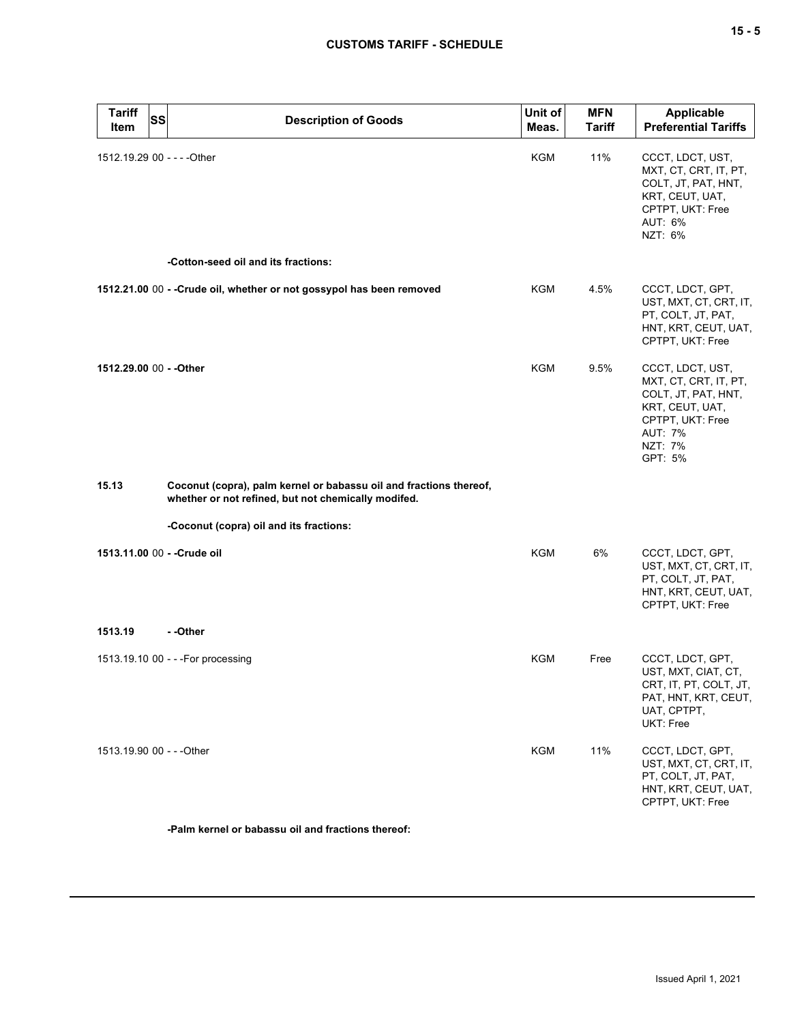| ×<br>۰. |  | ×<br>۰. |
|---------|--|---------|
|---------|--|---------|

| <b>Tariff</b><br><b>Item</b> | <b>SS</b><br><b>Description of Goods</b>                                                                                  | Unit of<br>Meas. | <b>MFN</b><br><b>Tariff</b> | Applicable<br><b>Preferential Tariffs</b>                                                                                                       |
|------------------------------|---------------------------------------------------------------------------------------------------------------------------|------------------|-----------------------------|-------------------------------------------------------------------------------------------------------------------------------------------------|
| 1512.19.29 00 - - - - Other  |                                                                                                                           | <b>KGM</b>       | 11%                         | CCCT, LDCT, UST,<br>MXT, CT, CRT, IT, PT,<br>COLT, JT, PAT, HNT,<br>KRT, CEUT, UAT,<br>CPTPT, UKT: Free<br>AUT: 6%<br>NZT: 6%                   |
|                              | -Cotton-seed oil and its fractions:                                                                                       |                  |                             |                                                                                                                                                 |
|                              | 1512.21.00 00 - - Crude oil, whether or not gossypol has been removed                                                     | KGM              | 4.5%                        | CCCT, LDCT, GPT,<br>UST, MXT, CT, CRT, IT,<br>PT, COLT, JT, PAT,<br>HNT, KRT, CEUT, UAT,<br>CPTPT, UKT: Free                                    |
| 1512.29.00 00 - - Other      |                                                                                                                           | <b>KGM</b>       | 9.5%                        | CCCT, LDCT, UST,<br>MXT, CT, CRT, IT, PT,<br>COLT, JT, PAT, HNT,<br>KRT, CEUT, UAT,<br>CPTPT, UKT: Free<br><b>AUT: 7%</b><br>NZT: 7%<br>GPT: 5% |
| 15.13                        | Coconut (copra), palm kernel or babassu oil and fractions thereof,<br>whether or not refined, but not chemically modifed. |                  |                             |                                                                                                                                                 |
|                              | -Coconut (copra) oil and its fractions:                                                                                   |                  |                             |                                                                                                                                                 |
|                              | 1513.11.00 00 - - Crude oil                                                                                               | <b>KGM</b>       | 6%                          | CCCT, LDCT, GPT,<br>UST, MXT, CT, CRT, IT,<br>PT, COLT, JT, PAT,<br>HNT, KRT, CEUT, UAT,<br>CPTPT, UKT: Free                                    |
| 1513.19                      | - -Other                                                                                                                  |                  |                             |                                                                                                                                                 |
|                              | 1513.19.10 00 - - - For processing                                                                                        | KGM              | Free                        | CCCT, LDCT, GPT,<br>UST, MXT, CIAT, CT,<br>CRT, IT, PT, COLT, JT,<br>PAT, HNT, KRT, CEUT,<br>UAT, CPTPT,<br>UKT: Free                           |
| 1513.19.90 00 - - - Other    |                                                                                                                           | KGM              | 11%                         | CCCT, LDCT, GPT,<br>UST, MXT, CT, CRT, IT,<br>PT, COLT, JT, PAT,<br>HNT, KRT, CEUT, UAT,<br>CPTPT, UKT: Free                                    |
|                              | -Palm kernel or babassu oil and fractions thereof:                                                                        |                  |                             |                                                                                                                                                 |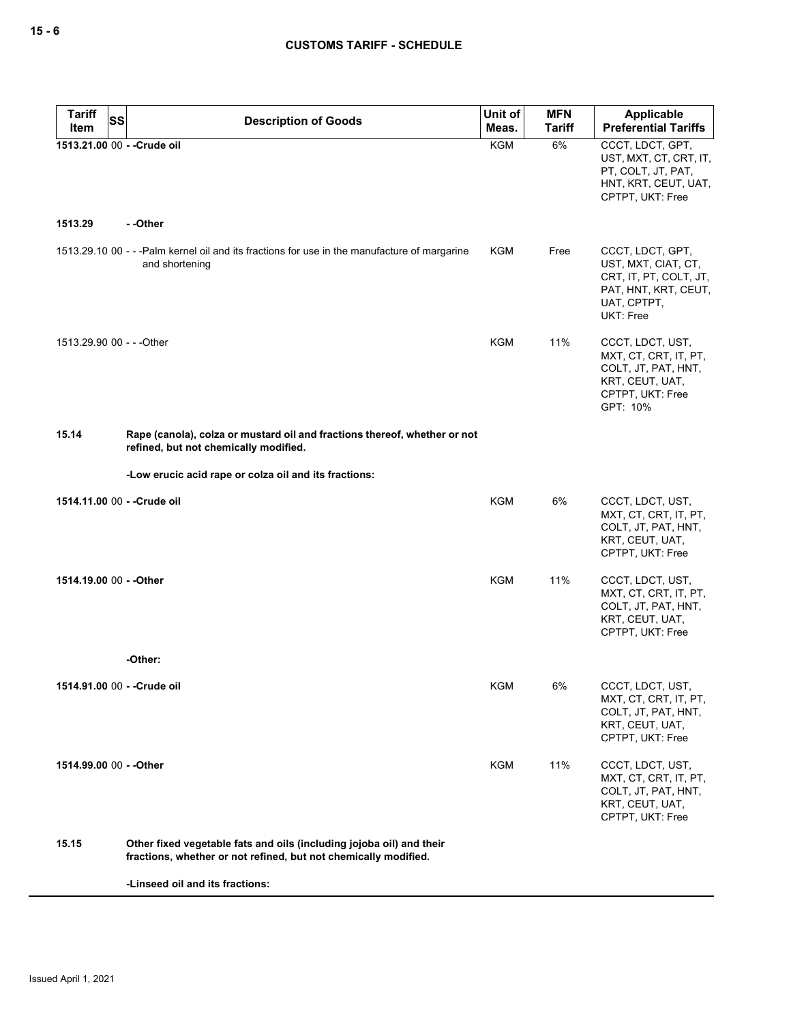| <b>Tariff</b><br><b>SS</b>  | <b>Description of Goods</b>                                                                                                             | Unit of    | <b>MFN</b>    | Applicable                                                                                                            |
|-----------------------------|-----------------------------------------------------------------------------------------------------------------------------------------|------------|---------------|-----------------------------------------------------------------------------------------------------------------------|
| Item                        |                                                                                                                                         | Meas.      | <b>Tariff</b> | <b>Preferential Tariffs</b>                                                                                           |
| 1513.21.00 00 - - Crude oil |                                                                                                                                         | <b>KGM</b> | 6%            | CCCT, LDCT, GPT,<br>UST, MXT, CT, CRT, IT,<br>PT, COLT, JT, PAT,<br>HNT, KRT, CEUT, UAT,<br>CPTPT, UKT: Free          |
| 1513.29                     | - -Other                                                                                                                                |            |               |                                                                                                                       |
|                             | 1513.29.10 00 - - -Palm kernel oil and its fractions for use in the manufacture of margarine<br>and shortening                          | KGM        | Free          | CCCT, LDCT, GPT,<br>UST, MXT, CIAT, CT,<br>CRT, IT, PT, COLT, JT,<br>PAT, HNT, KRT, CEUT,<br>UAT, CPTPT,<br>UKT: Free |
| 1513.29.90 00 - - - Other   |                                                                                                                                         | KGM        | 11%           | CCCT, LDCT, UST,<br>MXT, CT, CRT, IT, PT,<br>COLT, JT, PAT, HNT,<br>KRT, CEUT, UAT,<br>CPTPT, UKT: Free<br>GPT: 10%   |
| 15.14                       | Rape (canola), colza or mustard oil and fractions thereof, whether or not<br>refined, but not chemically modified.                      |            |               |                                                                                                                       |
|                             | -Low erucic acid rape or colza oil and its fractions:                                                                                   |            |               |                                                                                                                       |
| 1514.11.00 00 - - Crude oil |                                                                                                                                         | KGM        | 6%            | CCCT, LDCT, UST,<br>MXT, CT, CRT, IT, PT,<br>COLT, JT, PAT, HNT,<br>KRT, CEUT, UAT,<br>CPTPT, UKT: Free               |
| 1514.19.00 00 - - Other     |                                                                                                                                         | <b>KGM</b> | 11%           | CCCT, LDCT, UST,<br>MXT, CT, CRT, IT, PT,<br>COLT, JT, PAT, HNT,<br>KRT, CEUT, UAT,<br>CPTPT, UKT: Free               |
|                             | -Other:                                                                                                                                 |            |               |                                                                                                                       |
|                             | 1514.91.00 00 - - Crude oil                                                                                                             | <b>KGM</b> | 6%            | CCCT, LDCT, UST,<br>MXT, CT, CRT, IT, PT,<br>COLT, JT, PAT, HNT,<br>KRT, CEUT, UAT,<br>CPTPT, UKT: Free               |
| 1514.99.00 00 - - Other     |                                                                                                                                         | KGM        | 11%           | CCCT, LDCT, UST,<br>MXT, CT, CRT, IT, PT,<br>COLT, JT, PAT, HNT,<br>KRT, CEUT, UAT,<br>CPTPT, UKT: Free               |
| 15.15                       | Other fixed vegetable fats and oils (including jojoba oil) and their<br>fractions, whether or not refined, but not chemically modified. |            |               |                                                                                                                       |

**-Linseed oil and its fractions:**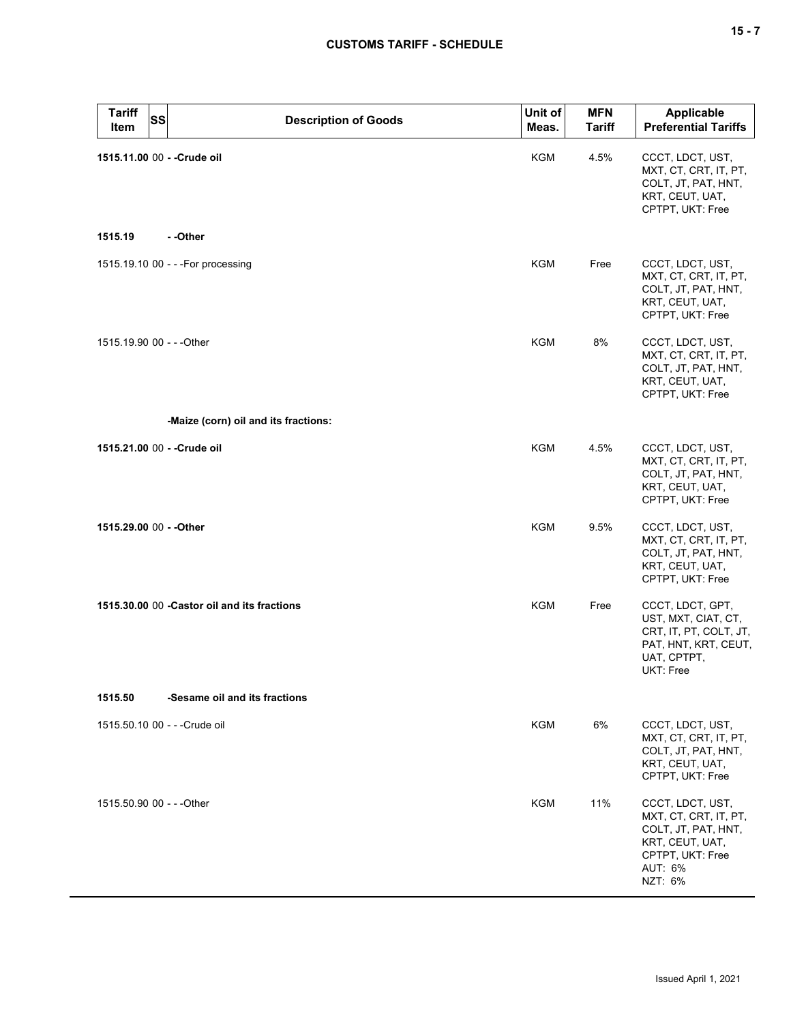| <b>Tariff</b><br>SS<br>Item   | <b>Description of Goods</b>                  | Unit of<br>Meas. | <b>MFN</b><br><b>Tariff</b> | Applicable<br><b>Preferential Tariffs</b>                                                                                     |
|-------------------------------|----------------------------------------------|------------------|-----------------------------|-------------------------------------------------------------------------------------------------------------------------------|
| 1515.11.00 00 - - Crude oil   |                                              | KGM              | 4.5%                        | CCCT, LDCT, UST,<br>MXT, CT, CRT, IT, PT,<br>COLT, JT, PAT, HNT,<br>KRT, CEUT, UAT,<br>CPTPT, UKT: Free                       |
| 1515.19                       | - -Other                                     |                  |                             |                                                                                                                               |
|                               | 1515.19.10 00 - - - For processing           | KGM              | Free                        | CCCT, LDCT, UST,<br>MXT, CT, CRT, IT, PT,<br>COLT, JT, PAT, HNT,<br>KRT, CEUT, UAT,<br>CPTPT, UKT: Free                       |
| 1515.19.90 00 - - - Other     |                                              | KGM              | 8%                          | CCCT, LDCT, UST,<br>MXT, CT, CRT, IT, PT,<br>COLT, JT, PAT, HNT,<br>KRT, CEUT, UAT,<br>CPTPT, UKT: Free                       |
|                               | -Maize (corn) oil and its fractions:         |                  |                             |                                                                                                                               |
| 1515.21.00 00 - - Crude oil   |                                              | <b>KGM</b>       | 4.5%                        | CCCT, LDCT, UST,<br>MXT, CT, CRT, IT, PT,<br>COLT, JT, PAT, HNT,<br>KRT, CEUT, UAT,<br>CPTPT, UKT: Free                       |
| 1515.29.00 00 - - Other       |                                              | KGM              | 9.5%                        | CCCT, LDCT, UST,<br>MXT, CT, CRT, IT, PT,<br>COLT, JT, PAT, HNT,<br>KRT, CEUT, UAT,<br>CPTPT, UKT: Free                       |
|                               | 1515.30.00 00 - Castor oil and its fractions | KGM              | Free                        | CCCT, LDCT, GPT,<br>UST, MXT, CIAT, CT,<br>CRT, IT, PT, COLT, JT,<br>PAT, HNT, KRT, CEUT,<br>UAT, CPTPT,<br>UKT: Free         |
| 1515.50                       | -Sesame oil and its fractions                |                  |                             |                                                                                                                               |
| 1515.50.10 00 - - - Crude oil |                                              | <b>KGM</b>       | 6%                          | CCCT, LDCT, UST,<br>MXT, CT, CRT, IT, PT,<br>COLT, JT, PAT, HNT,<br>KRT, CEUT, UAT,<br>CPTPT, UKT: Free                       |
| 1515.50.90 00 - - - Other     |                                              | <b>KGM</b>       | 11%                         | CCCT, LDCT, UST,<br>MXT, CT, CRT, IT, PT,<br>COLT, JT, PAT, HNT,<br>KRT, CEUT, UAT,<br>CPTPT, UKT: Free<br>AUT: 6%<br>NZT: 6% |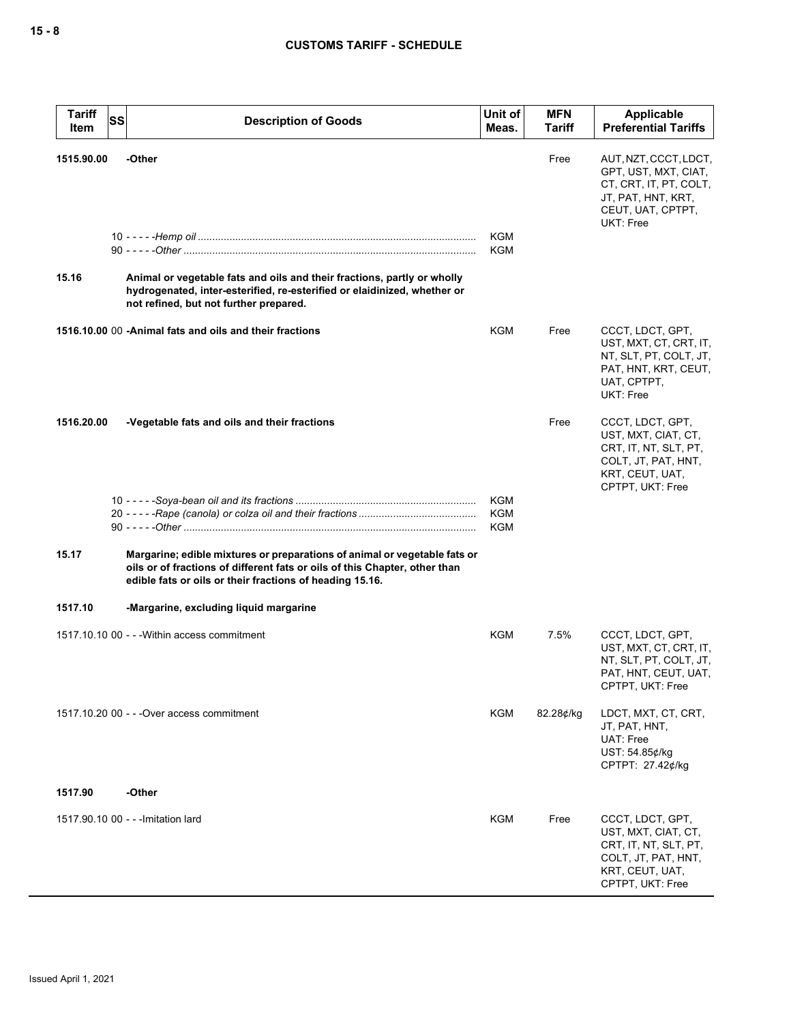| <b>Tariff</b><br>Item | SS | <b>Description of Goods</b>                                                                                                                                                                                         | Unit of<br>Meas.                | <b>MFN</b><br><b>Tariff</b> | Applicable<br><b>Preferential Tariffs</b>                                                                                       |
|-----------------------|----|---------------------------------------------------------------------------------------------------------------------------------------------------------------------------------------------------------------------|---------------------------------|-----------------------------|---------------------------------------------------------------------------------------------------------------------------------|
| 1515.90.00            |    | -Other                                                                                                                                                                                                              | <b>KGM</b>                      | Free                        | AUT, NZT, CCCT, LDCT,<br>GPT, UST, MXT, CIAT,<br>CT, CRT, IT, PT, COLT,<br>JT, PAT, HNT, KRT,<br>CEUT, UAT, CPTPT,<br>UKT: Free |
| 15.16                 |    | Animal or vegetable fats and oils and their fractions, partly or wholly<br>hydrogenated, inter-esterified, re-esterified or elaidinized, whether or<br>not refined, but not further prepared.                       | <b>KGM</b>                      |                             |                                                                                                                                 |
|                       |    | 1516.10.00 00 - Animal fats and oils and their fractions                                                                                                                                                            | KGM                             | Free                        | CCCT, LDCT, GPT,<br>UST, MXT, CT, CRT, IT,<br>NT, SLT, PT, COLT, JT,<br>PAT, HNT, KRT, CEUT,<br>UAT, CPTPT,<br><b>UKT: Free</b> |
| 1516.20.00            |    | -Vegetable fats and oils and their fractions                                                                                                                                                                        |                                 | Free                        | CCCT, LDCT, GPT,<br>UST, MXT, CIAT, CT,<br>CRT, IT, NT, SLT, PT,<br>COLT, JT, PAT, HNT,<br>KRT, CEUT, UAT,<br>CPTPT, UKT: Free  |
|                       |    |                                                                                                                                                                                                                     | <b>KGM</b><br>KGM<br><b>KGM</b> |                             |                                                                                                                                 |
| 15.17                 |    | Margarine; edible mixtures or preparations of animal or vegetable fats or<br>oils or of fractions of different fats or oils of this Chapter, other than<br>edible fats or oils or their fractions of heading 15.16. |                                 |                             |                                                                                                                                 |
| 1517.10               |    | -Margarine, excluding liquid margarine                                                                                                                                                                              |                                 |                             |                                                                                                                                 |
|                       |    | 1517.10.10 00 - - - Within access commitment                                                                                                                                                                        | <b>KGM</b>                      | 7.5%                        | CCCT, LDCT, GPT,<br>UST, MXT, CT, CRT, IT,<br>NT, SLT, PT, COLT, JT,<br>PAT, HNT, CEUT, UAT,<br>CPTPT, UKT: Free                |
|                       |    | 1517.10.20 00 - - - Over access commitment                                                                                                                                                                          | KGM                             | 82.28¢/kg                   | LDCT, MXT, CT, CRT,<br>JT, PAT, HNT,<br>UAT: Free<br>UST: 54.85¢/kg<br>CPTPT: 27.42¢/kg                                         |
| 1517.90               |    | -Other                                                                                                                                                                                                              |                                 |                             |                                                                                                                                 |
|                       |    | 1517.90.10 00 - - - Imitation lard                                                                                                                                                                                  | KGM                             | Free                        | CCCT, LDCT, GPT,<br>UST, MXT, CIAT, CT,<br>CRT, IT, NT, SLT, PT,<br>COLT, JT, PAT, HNT,<br>KRT, CEUT, UAT,<br>CPTPT, UKT: Free  |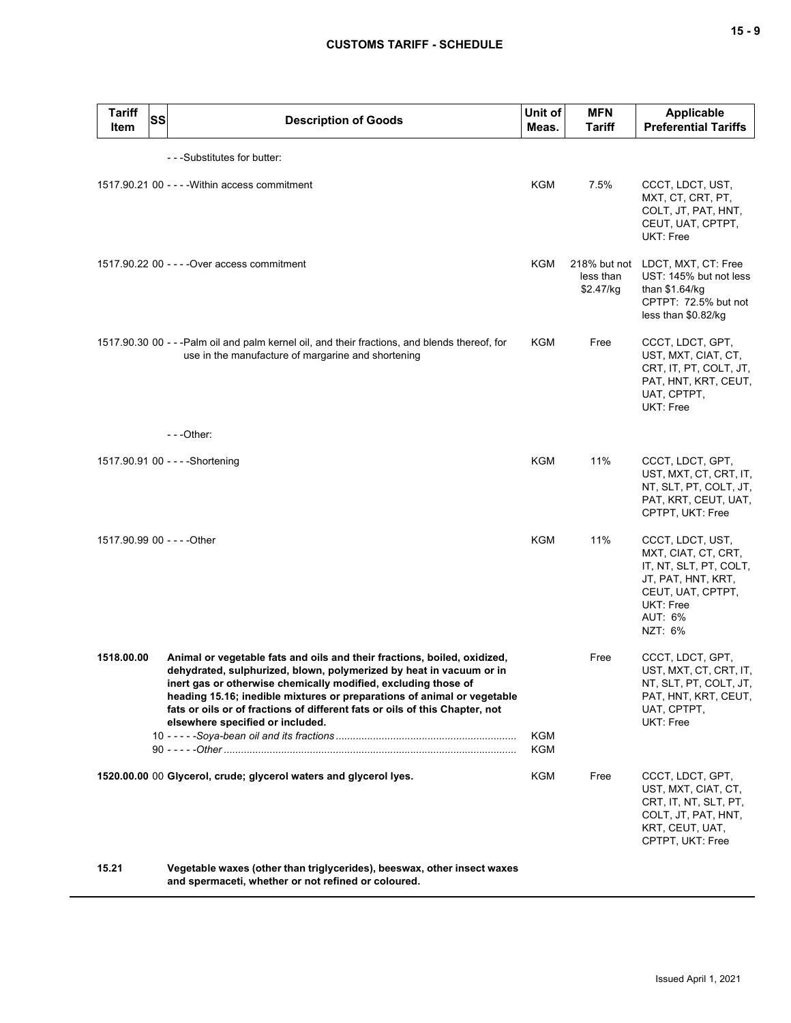# **CUSTOMS TARIFF - SCHEDULE**

| <b>Tariff</b><br><b>SS</b><br>Item | <b>Description of Goods</b>                                                                                                                                                                                                                                                                                                                                                                                     | Unit of<br>Meas. | <b>MFN</b><br>Tariff                   | <b>Applicable</b><br><b>Preferential Tariffs</b>                                                                                                |
|------------------------------------|-----------------------------------------------------------------------------------------------------------------------------------------------------------------------------------------------------------------------------------------------------------------------------------------------------------------------------------------------------------------------------------------------------------------|------------------|----------------------------------------|-------------------------------------------------------------------------------------------------------------------------------------------------|
|                                    | - - - Substitutes for butter:                                                                                                                                                                                                                                                                                                                                                                                   |                  |                                        |                                                                                                                                                 |
|                                    | 1517.90.21 00 - - - - Within access commitment                                                                                                                                                                                                                                                                                                                                                                  | KGM              | 7.5%                                   | CCCT, LDCT, UST,<br>MXT, CT, CRT, PT,<br>COLT, JT, PAT, HNT,<br>CEUT, UAT, CPTPT,<br>UKT: Free                                                  |
|                                    | 1517.90.22 00 - - - - Over access commitment                                                                                                                                                                                                                                                                                                                                                                    | <b>KGM</b>       | 218% but not<br>less than<br>\$2.47/kg | LDCT, MXT, CT: Free<br>UST: 145% but not less<br>than \$1.64/kg<br>CPTPT: 72.5% but not<br>less than \$0.82/kg                                  |
|                                    | 1517.90.30 00 - - -Palm oil and palm kernel oil, and their fractions, and blends thereof, for<br>use in the manufacture of margarine and shortening<br>$- -$ Other:                                                                                                                                                                                                                                             | KGM              | Free                                   | CCCT, LDCT, GPT,<br>UST, MXT, CIAT, CT,<br>CRT, IT, PT, COLT, JT,<br>PAT, HNT, KRT, CEUT,<br>UAT, CPTPT,<br>UKT: Free                           |
|                                    |                                                                                                                                                                                                                                                                                                                                                                                                                 |                  |                                        |                                                                                                                                                 |
|                                    | 1517.90.91 00 - - - - Shortening                                                                                                                                                                                                                                                                                                                                                                                | <b>KGM</b>       | 11%                                    | CCCT, LDCT, GPT,<br>UST, MXT, CT, CRT, IT,<br>NT, SLT, PT, COLT, JT,<br>PAT, KRT, CEUT, UAT,<br>CPTPT, UKT: Free                                |
| 1517.90.99 00 - - - - Other        |                                                                                                                                                                                                                                                                                                                                                                                                                 | <b>KGM</b>       | 11%                                    | CCCT, LDCT, UST,<br>MXT, CIAT, CT, CRT,<br>IT, NT, SLT, PT, COLT,<br>JT, PAT, HNT, KRT,<br>CEUT, UAT, CPTPT,<br>UKT: Free<br>AUT: 6%<br>NZT: 6% |
| 1518.00.00                         | Animal or vegetable fats and oils and their fractions, boiled, oxidized,<br>dehydrated, sulphurized, blown, polymerized by heat in vacuum or in<br>inert gas or otherwise chemically modified, excluding those of<br>heading 15.16; inedible mixtures or preparations of animal or vegetable<br>fats or oils or of fractions of different fats or oils of this Chapter, not<br>elsewhere specified or included. | KGM<br>KGM       | Free                                   | CCCT, LDCT, GPT,<br>UST, MXT, CT, CRT, IT,<br>NT, SLT, PT, COLT, JT,<br>PAT, HNT, KRT, CEUT,<br>UAT, CPTPT,<br>UKT: Free                        |
|                                    | 1520.00.00 00 Glycerol, crude; glycerol waters and glycerol lyes.                                                                                                                                                                                                                                                                                                                                               | KGM              | Free                                   | CCCT, LDCT, GPT,<br>UST, MXT, CIAT, CT,<br>CRT, IT, NT, SLT, PT,<br>COLT, JT, PAT, HNT,<br>KRT, CEUT, UAT,<br>CPTPT, UKT: Free                  |
| 15.21                              | Vegetable waxes (other than triglycerides), beeswax, other insect waxes<br>and spermaceti, whether or not refined or coloured.                                                                                                                                                                                                                                                                                  |                  |                                        |                                                                                                                                                 |